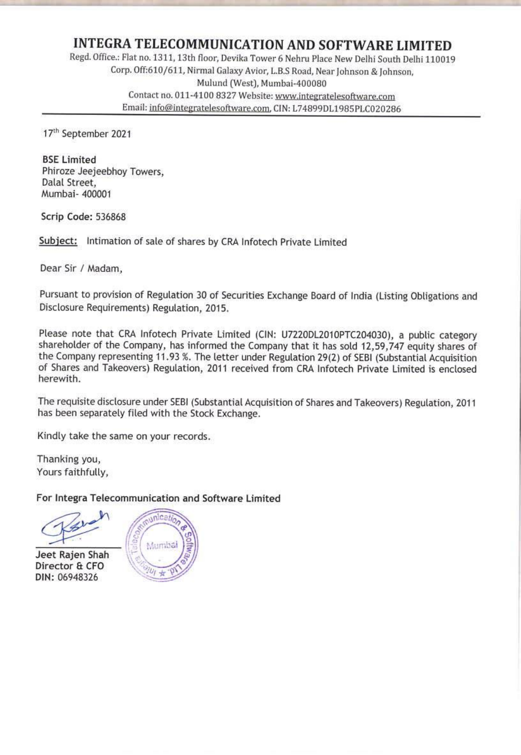**INTEGRA TELECOMMUNICATION AND SOFTWARE LIMITED**<br>Regd. Office.: Flat no. 1311, 13th floor, Devika Tower 6 Nehru Place New Delhi South Delhi 110019<br>Corp. Off:610/611, Nirmal Galaxy Avior, L.B.S Road, Near Johnson & Johnson, Contact no. 011-4100 8327 Website: www.integratelesoftware.com Email: info@integratelesoftware.com, CIN: L74899D11985PLC020286

17" September 2021

BSE Limited<br>Phiroze Jeejeebhoy Towers, Dalal Street, 'Mumbai- 400001

Scrip Code: 536868

Subject: Intimation of sale of shares by CRA Infotech Private Limited

Dear Sir / Madam,

Pursuant to provision of Regulation 30 of Securities Exchange Board of India (Listing Obligations and<br>Disclosure Requirements) Regulation, 2015.

Please note that CRA Infotech Private Limited (CIN: U7220DL2010PTC204030), a public category shareholder of the Company, has informed the Company that it has sold 12,59,747 equity shares of the Company representing 11.93 % herewith.

The requisite disclosure under SEBI (Substantial Acquisition of Shares and Takeovers) Regulation, 2011 has been separately filed with the Stock Exchange.

Kindly take the same on your records.

Thanking you,<br>Yours faithfully,

For Integra Telecommunication and Software Limited

Thanking yours faithfunction<br>
For Integra<br>
Seet Rajen

Jeet Rajen Shah<br>Director & CFO DIN: 06948326

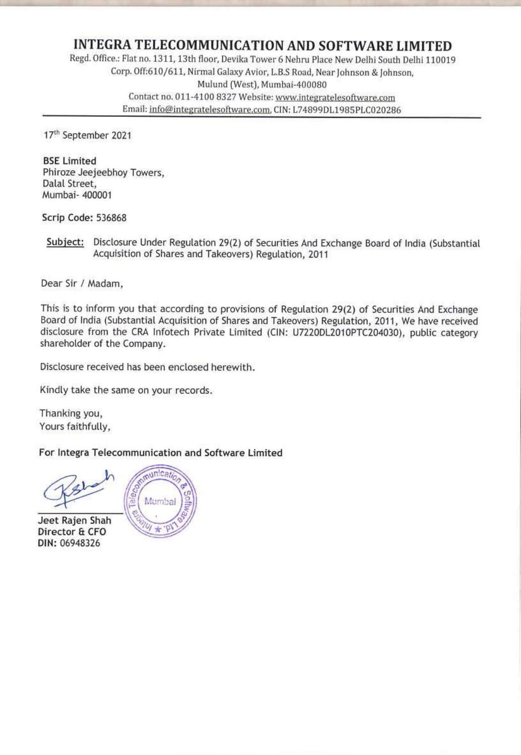**INTEGRA TELECOMMUNICATION AND SOFTWARE LIMITED**<br>Regd. Office.: Flat no. 1311, 13th floor, Devika Tower 6 Nehru Place New Delhi South Delhi 110019<br>Corp. Off:610/611, Nirmal Galaxy Avior, L.B.S Road, Near Johnson & Johnson, Contact no, 011-4100 8327 Website: www.integratelesoftware.com Email: info@integratelesoftware.com, CIN: L74899DL1985PLC020286

17<sup>th</sup> September 2021

BSE Limited<br>Phiroze Jeejeebhoy Towers, Dalal Street, Mumbai- 400001

Scrip Code: 536868

Subject: Disclosure Under Regulation 29(2) of Securities And Exchange Board of India (Substantial Acquisition of Shares and Takeovers) Regulation, <sup>2011</sup>

Dear Sir / Madam,

This is to inform you that according to provisions of Regulation 29(2) of Securities And Exchange Board of India (Substantial Acquisition of Shares and Takeovers) Regulation, 2011, We have received disclosure from the CRA Infotech Private Limited (CIN: U7220DL2010PTC204030), public category shareholder of the Company.

Disclosure received has been enclosed herewith.

Kindly take the same on your records.

Thanking you, Yours faithfully,

For Integra Telecommunication and Software Limited

Jeet Rajen Shah Director & CFO DIN: 06948326

Mumbai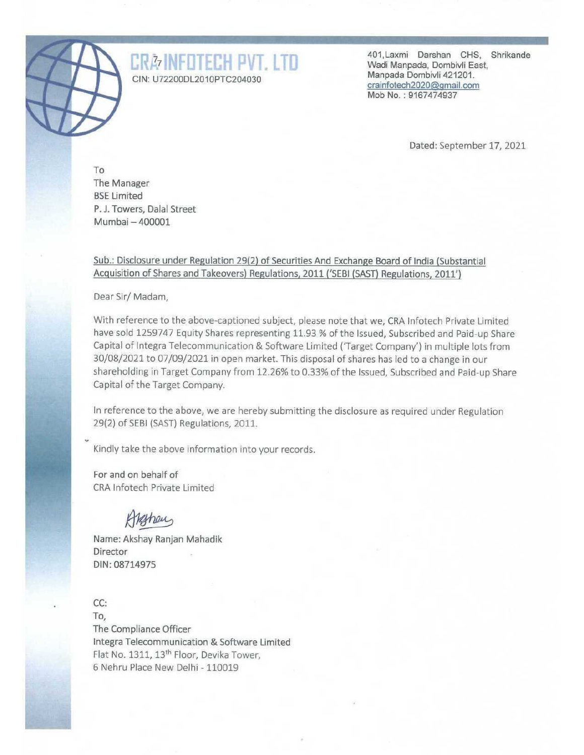

CRE INFORMATION: U72200DL2010PTC204030 Manpada, Dombi East, CIN: U72200DL2010PTC204030 Manpada Dombi ta 121201.<br>CIN: U72200DL2010PTC204030 crainfotech2020@gmail.com Shrikande Mob No. : 9167474937

Dated: September 17, 2021

To The Manager BSE Limited P. J. Towers, Dalal Street Mumbai — 400001

## Sub.: Disclosure under Regulation 29(2) of Securities And Exchange Board of India (Substantial Acquisition of Shares and Takeovers) Regulations, 2011 ('SEBI (SAST) Regulations, 2011')

Dear Sir/ Madam,

With reference to the above-captioned subject, please note that we, CRA Infotech Private Limited have sold 1259747 Equity Shares representing 11.93 % of the Issued, Subscribed and Paid-up Share Capital of Integra Telecommunication & Software Limited ('Target Company') in multiple lots from 30/08/2021 to 07/09/2021 in open market. This disposal of shares has led to a change in our shareholding in Target Company from 12.26% to 0.33% of the Issued, Subscribed and Paid-up Share Capital of the Target Company.

In reference to the above, we are hereby submitting the disclosure as required under Regulation 29(2) of SEBI (SAST) Regulations, 2011.

Kindly take the above information into your records.

For and on behalf of CRA Infotech Private Limited

Hethaus

Name: Akshay Ranjan Mahadik Director DIN: 08714975

CC: To, The Compliance Officer Integra Telecommunication & Software Limited

 Flat No. 1311, 13<sup>th</sup> Floor, Devika Tower, 6 Nehru Place New Delhi - 110019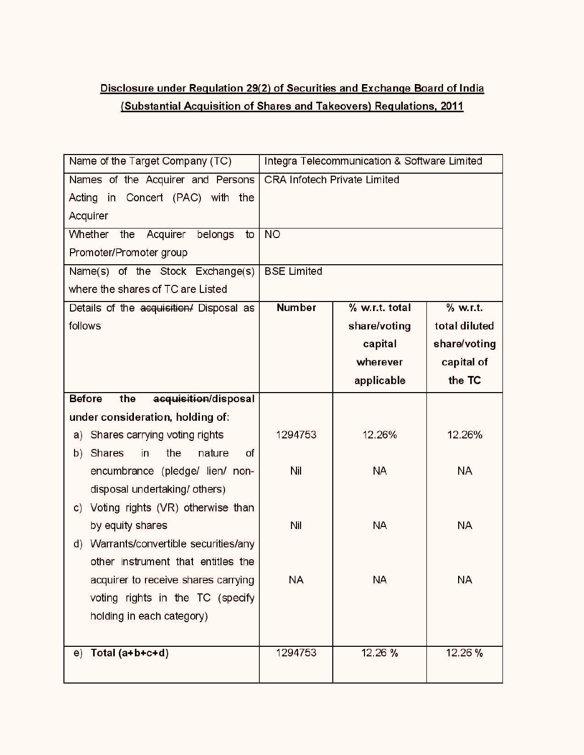## Disclosure under Requlation 29(2) of Securities and Exchange Board of India Disclosure under Requlation 29(2) of<br>Cubstantial Acquisition of Share (Substantial Acquisition of Shares and Takeovers) Requlations, 2011 Disclosure under Requlation 29(2) of<br>Substantial Acquisition of Share<br>Name of the Target Company (TC)

| Disclosure under Regulation 29(2) of Securities and Exchange Board of India<br>(Substantial Acquisition of Shares and Takeovers) Requlations, 2011 |                                     |                                              |               |
|----------------------------------------------------------------------------------------------------------------------------------------------------|-------------------------------------|----------------------------------------------|---------------|
|                                                                                                                                                    |                                     |                                              |               |
| Name of the Target Company (TC)                                                                                                                    | <b>CRA Infotech Private Limited</b> | Integra Telecommunication & Software Limited |               |
| Names of the Acquirer and Persons<br>Acting in<br>Concert (PAC) with the<br>Acquirer                                                               |                                     |                                              |               |
| Whether<br>Acquirer<br>belongs<br>the<br>to                                                                                                        | <b>NO</b>                           |                                              |               |
|                                                                                                                                                    |                                     |                                              |               |
| Promoter/Promoter group                                                                                                                            |                                     |                                              |               |
| Name(s) of the Stock Exchange(s)<br>where the shares of TC are Listed                                                                              | <b>BSE Limited</b>                  |                                              |               |
|                                                                                                                                                    | <b>Number</b>                       | % w.r.t. total                               | % w.r.t.      |
| Details of the acquisition/ Disposal as<br>follows                                                                                                 |                                     |                                              | total diluted |
|                                                                                                                                                    |                                     | share/voting                                 |               |
|                                                                                                                                                    |                                     | capital                                      | share/voting  |
|                                                                                                                                                    |                                     | wherever                                     | capital of    |
|                                                                                                                                                    |                                     | applicable                                   | the TC        |
| <b>Before</b><br>acquisition/disposal<br>the                                                                                                       |                                     |                                              |               |
| under consideration, holding of:                                                                                                                   | 1294753                             | 12.26%                                       | 12.26%        |
| a) Shares carrying voting rights                                                                                                                   |                                     |                                              |               |
| in<br>the<br>nature<br>Shares<br>of<br>b)<br>encumbrance (pledge/ lien/ non-                                                                       | <b>Nil</b>                          | <b>NA</b>                                    | NA            |
|                                                                                                                                                    |                                     |                                              |               |
| disposal undertaking/others)                                                                                                                       |                                     |                                              |               |
| c) Voting rights (VR) otherwise than                                                                                                               | Nil                                 | <b>NA</b>                                    | NΑ            |
| by equity shares<br>Warrants/convertible securities/any                                                                                            |                                     |                                              |               |
| d)<br>other instrument that entitles the                                                                                                           |                                     |                                              |               |
| acquirer to receive shares carrying                                                                                                                | ΝA                                  | <b>NA</b>                                    | ΝA            |
| voting rights in the TC (specify                                                                                                                   |                                     |                                              |               |
| holding in each category)                                                                                                                          |                                     |                                              |               |
|                                                                                                                                                    |                                     |                                              |               |
| $e)$ Total (a+b+c+d)                                                                                                                               | 1294753                             | 12.26 %                                      | 12.26%        |
|                                                                                                                                                    |                                     |                                              |               |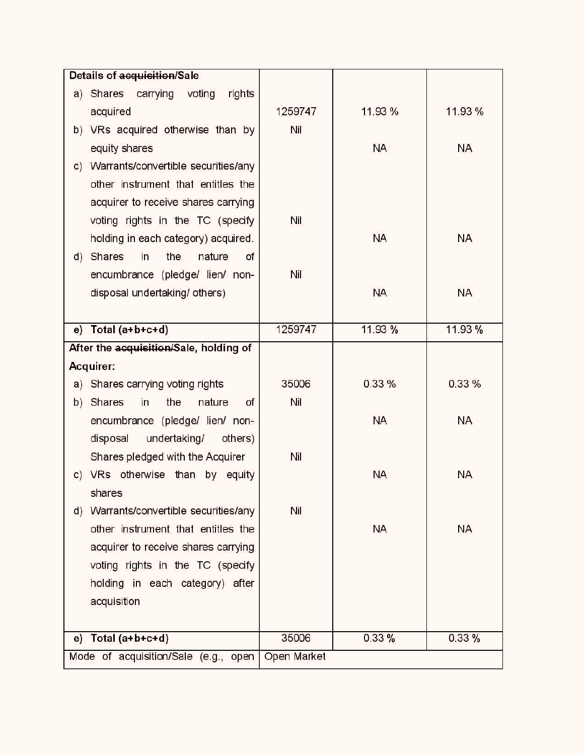| Details of acquisition/Sale                                                  |                |           |           |
|------------------------------------------------------------------------------|----------------|-----------|-----------|
| a) Shares carrying voting<br>rights                                          |                |           |           |
| acquired                                                                     | 1259747<br>Nil | 11.93 %   | 11.93 %   |
| b) VRs acquired otherwise than by                                            |                | <b>NA</b> | NA        |
| equity shares<br>c) Warrants/convertible securities/any                      |                |           |           |
| other instrument that entitles the                                           |                |           |           |
| acquirer to receive shares carrying                                          |                |           |           |
| voting rights in the TC (specify                                             | Nil            |           |           |
| holding in each category) acquired.                                          |                | <b>NA</b> | <b>NA</b> |
| d) Shares<br>in<br>the<br>nature<br>of                                       |                |           |           |
| encumbrance (pledge/ lien/ non-                                              | Nil            |           |           |
| disposal undertaking/ others)                                                |                | <b>NA</b> | <b>NA</b> |
|                                                                              |                |           |           |
| $e)$ Total (a+b+c+d)                                                         | 1259747        | 11.93 %   | 11.93%    |
| After the acquisition/Sale, holding of                                       |                |           |           |
| Acquirer:                                                                    |                |           |           |
| a) Shares carrying voting rights                                             | 35006          | 0.33%     | 0.33%     |
| b) Shares<br>in<br>nature<br>the<br>of                                       | Nil            |           |           |
| encumbrance (pledge/ lien/ non-                                              |                | <b>NA</b> | NA        |
| disposal undertaking/<br>others)                                             |                |           |           |
| Shares pledged with the Acquirer                                             | Nil            |           |           |
| c) VRs otherwise than by equity                                              |                | <b>NA</b> | NA        |
| shares                                                                       |                |           |           |
| d) Warrants/convertible securities/any<br>other instrument that entitles the | Nil            |           |           |
| acquirer to receive shares carrying                                          |                | <b>NA</b> | ΝA        |
| voting rights in the TC (specify                                             |                |           |           |
| holding in each category) after                                              |                |           |           |
| acquisition                                                                  |                |           |           |
|                                                                              |                |           |           |
| Total (a+b+c+d)<br>e)                                                        | 35006          | 0.33%     | 0.33%     |
|                                                                              |                |           |           |
| Mode of acquisition/Sale (e.g., open                                         | Open Market    |           |           |